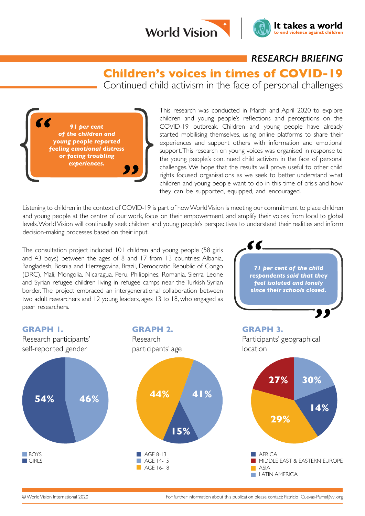



It takes a world

to end violence against childrer

**Children's voices in times of COVID-19**

Continued child activism in the face of personal challenges

*91 per cent of the children and young people reported feeling emotional distress or facing troubling experiences.*

This research was conducted in March and April 2020 to explore children and young people's reflections and perceptions on the COVID-19 outbreak. Children and young people have already started mobilising themselves, using online platforms to share their experiences and support others with information and emotional support. This research on young voices was organised in response to the young people's continued child activism in the face of personal challenges. We hope that the results will prove useful to other child rights focused organisations as we seek to better understand what children and young people want to do in this time of crisis and how they can be supported, equipped, and encouraged.

Z Z

Listening to children in the context of COVID-19 is part of how World Vision is meeting our commitment to place children and young people at the centre of our work, focus on their empowerment, and amplify their voices from local to global levels. World Vision will continually seek children and young people's perspectives to understand their realities and inform decision-making processes based on their input.

The consultation project included 101 children and young people (58 girls and 43 boys) between the ages of 8 and 17 from 13 countries: Albania, Bangladesh, Bosnia and Herzegovina, Brazil, Democratic Republic of Congo (DRC), Mali, Mongolia, Nicaragua, Peru, Philippines, Romania, Sierra Leone and Syrian refugee children living in refugee camps near the Turkish-Syrian border. The project embraced an intergenerational collaboration between two adult researchers and 12 young leaders, ages 13 to 18, who engaged as peer researchers.

*71 per cent of the child respondents said that they feel isolated and lonely since their schools closed.*